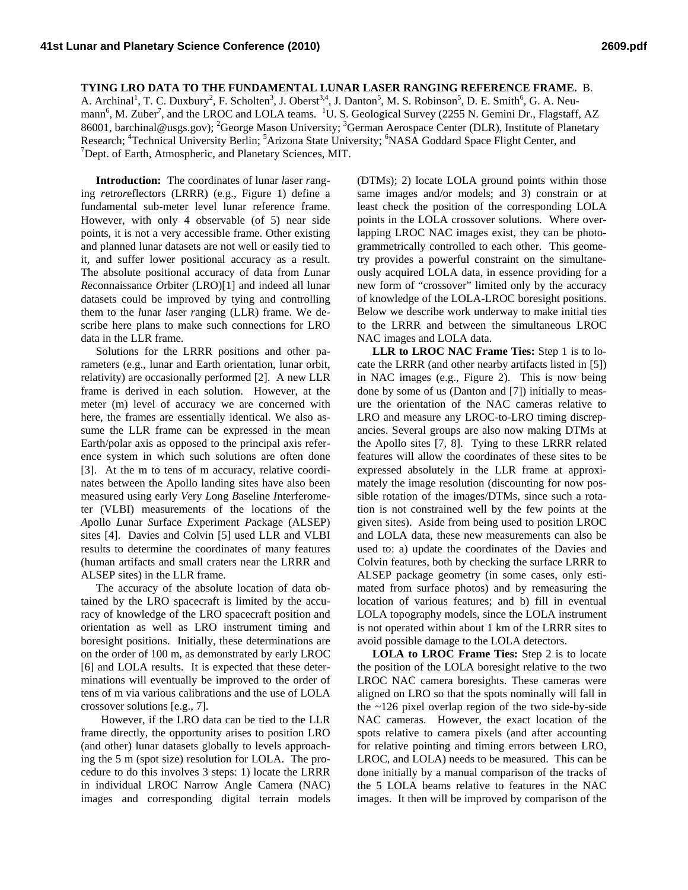## **TYING LRO DATA TO THE FUNDAMENTAL LUNAR LASER RANGING REFERENCE FRAME.** B.

A. Archinal<sup>1</sup>, T. C. Duxbury<sup>2</sup>, F. Scholten<sup>3</sup>, J. Oberst<sup>3,4</sup>, J. Danton<sup>5</sup>, M. S. Robinson<sup>5</sup>, D. E. Smith<sup>6</sup>, G. A. Neumann<sup>6</sup>, M. Zuber<sup>7</sup>, and the LROC and LOLA teams. <sup>1</sup>U. S. Geological Survey (2255 N. Gemini Dr., Flagstaff, AZ 86001, barchinal@usgs.gov); <sup>2</sup>George Mason University; <sup>3</sup>German Aerospace Center (DLR), Institute of Planetary Research; <sup>4</sup>Technical University Berlin; <sup>5</sup>Arizona State University; <sup>6</sup>NASA Goddard Space Flight Center, and <sup>7</sup>Dent, of Earth, Atmospheric, and Planatory Sciences, MIT  $\sigma$ Dept. of Earth, Atmospheric, and Planetary Sciences, MIT.

**Introduction:** The coordinates of lunar *l*aser *r*anging *r*etro*r*eflectors (LRRR) (e.g., Figure 1) define a fundamental sub-meter level lunar reference frame. However, with only 4 observable (of 5) near side points, it is not a very accessible frame. Other existing and planned lunar datasets are not well or easily tied to it, and suffer lower positional accuracy as a result. The absolute positional accuracy of data from *L*unar *R*econnaissance *O*rbiter (LRO)[1] and indeed all lunar datasets could be improved by tying and controlling them to the *l*unar *l*aser *r*anging (LLR) frame. We describe here plans to make such connections for LRO data in the LLR frame.

Solutions for the LRRR positions and other parameters (e.g., lunar and Earth orientation, lunar orbit, relativity) are occasionally performed [2]. A new LLR frame is derived in each solution. However, at the meter (m) level of accuracy we are concerned with here, the frames are essentially identical. We also assume the LLR frame can be expressed in the mean Earth/polar axis as opposed to the principal axis reference system in which such solutions are often done [3]. At the m to tens of m accuracy, relative coordinates between the Apollo landing sites have also been measured using early *V*ery *L*ong *B*aseline *I*nterferometer (VLBI) measurements of the locations of the *A*pollo *L*unar *S*urface *E*xperiment *P*ackage (ALSEP) sites [4]. Davies and Colvin [5] used LLR and VLBI results to determine the coordinates of many features (human artifacts and small craters near the LRRR and ALSEP sites) in the LLR frame.

The accuracy of the absolute location of data obtained by the LRO spacecraft is limited by the accuracy of knowledge of the LRO spacecraft position and orientation as well as LRO instrument timing and boresight positions. Initially, these determinations are on the order of 100 m, as demonstrated by early LROC [6] and LOLA results. It is expected that these determinations will eventually be improved to the order of tens of m via various calibrations and the use of LOLA crossover solutions [e.g., 7].

However, if the LRO data can be tied to the LLR frame directly, the opportunity arises to position LRO (and other) lunar datasets globally to levels approaching the 5 m (spot size) resolution for LOLA. The procedure to do this involves 3 steps: 1) locate the LRRR in individual LROC Narrow Angle Camera (NAC) images and corresponding digital terrain models

(DTMs); 2) locate LOLA ground points within those same images and/or models; and 3) constrain or at least check the position of the corresponding LOLA points in the LOLA crossover solutions. Where overlapping LROC NAC images exist, they can be photogrammetrically controlled to each other. This geometry provides a powerful constraint on the simultaneously acquired LOLA data, in essence providing for a new form of "crossover" limited only by the accuracy of knowledge of the LOLA-LROC boresight positions. Below we describe work underway to make initial ties to the LRRR and between the simultaneous LROC NAC images and LOLA data.

**LLR to LROC NAC Frame Ties:** Step 1 is to locate the LRRR (and other nearby artifacts listed in [5]) in NAC images (e.g., Figure 2). This is now being done by some of us (Danton and [7]) initially to measure the orientation of the NAC cameras relative to LRO and measure any LROC-to-LRO timing discrepancies. Several groups are also now making DTMs at the Apollo sites [7, 8]. Tying to these LRRR related features will allow the coordinates of these sites to be expressed absolutely in the LLR frame at approximately the image resolution (discounting for now possible rotation of the images/DTMs, since such a rotation is not constrained well by the few points at the given sites). Aside from being used to position LROC and LOLA data, these new measurements can also be used to: a) update the coordinates of the Davies and Colvin features, both by checking the surface LRRR to ALSEP package geometry (in some cases, only estimated from surface photos) and by remeasuring the location of various features; and b) fill in eventual LOLA topography models, since the LOLA instrument is not operated within about 1 km of the LRRR sites to avoid possible damage to the LOLA detectors.

**LOLA to LROC Frame Ties:** Step 2 is to locate the position of the LOLA boresight relative to the two LROC NAC camera boresights. These cameras were aligned on LRO so that the spots nominally will fall in the  $\sim$ 126 pixel overlap region of the two side-by-side NAC cameras. However, the exact location of the spots relative to camera pixels (and after accounting for relative pointing and timing errors between LRO, LROC, and LOLA) needs to be measured. This can be done initially by a manual comparison of the tracks of the 5 LOLA beams relative to features in the NAC images. It then will be improved by comparison of the